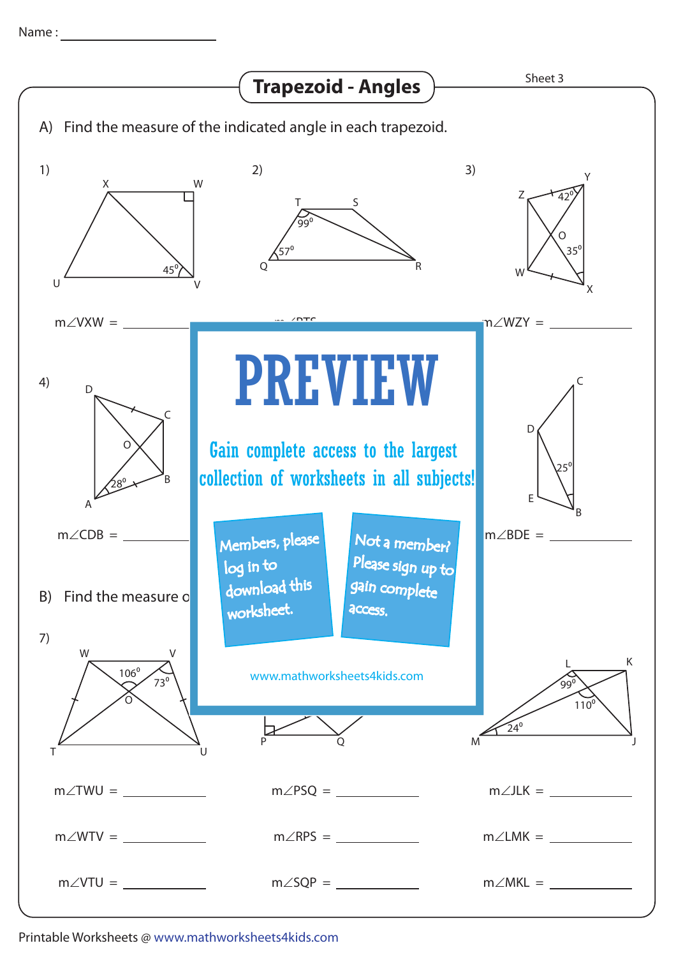